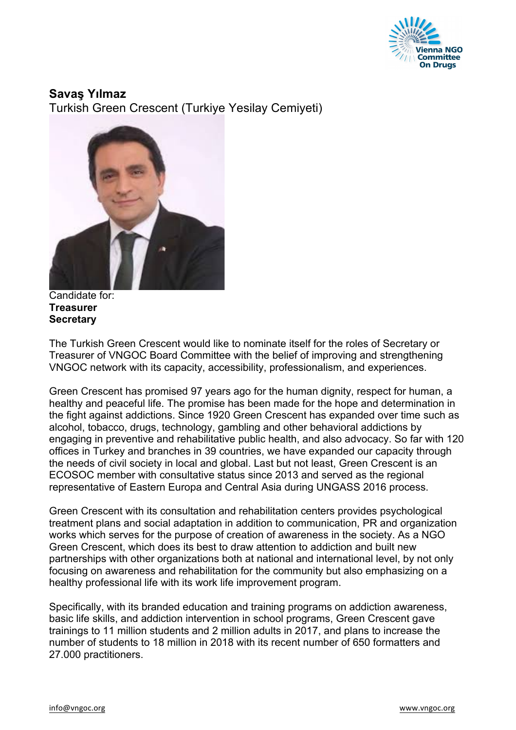

**Savaş Yılmaz** Turkish Green Crescent (Turkiye Yesilay Cemiyeti)



Candidate for: **Treasurer Secretary**

The Turkish Green Crescent would like to nominate itself for the roles of Secretary or Treasurer of VNGOC Board Committee with the belief of improving and strengthening VNGOC network with its capacity, accessibility, professionalism, and experiences.

Green Crescent has promised 97 years ago for the human dignity, respect for human, a healthy and peaceful life. The promise has been made for the hope and determination in the fight against addictions. Since 1920 Green Crescent has expanded over time such as alcohol, tobacco, drugs, technology, gambling and other behavioral addictions by engaging in preventive and rehabilitative public health, and also advocacy. So far with 120 offices in Turkey and branches in 39 countries, we have expanded our capacity through the needs of civil society in local and global. Last but not least, Green Crescent is an ECOSOC member with consultative status since 2013 and served as the regional representative of Eastern Europa and Central Asia during UNGASS 2016 process.

Green Crescent with its consultation and rehabilitation centers provides psychological treatment plans and social adaptation in addition to communication, PR and organization works which serves for the purpose of creation of awareness in the society. As a NGO Green Crescent, which does its best to draw attention to addiction and built new partnerships with other organizations both at national and international level, by not only focusing on awareness and rehabilitation for the community but also emphasizing on a healthy professional life with its work life improvement program.

Specifically, with its branded education and training programs on addiction awareness, basic life skills, and addiction intervention in school programs, Green Crescent gave trainings to 11 million students and 2 million adults in 2017, and plans to increase the number of students to 18 million in 2018 with its recent number of 650 formatters and 27.000 practitioners.